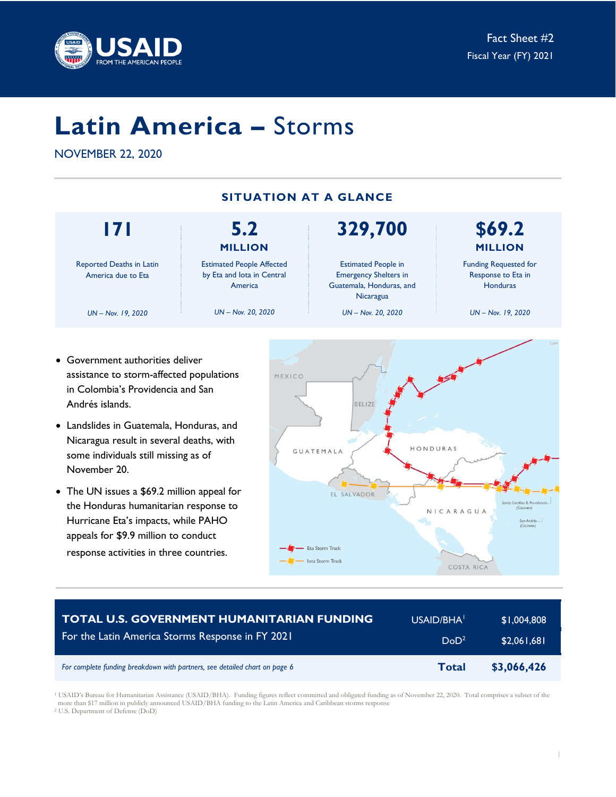

# **Latin America –** Storms

NOVEMBER 22, 2020



- Government authorities deliver assistance to storm-affected populations in Colombia's Providencia and San Andrés islands.
- Landslides in Guatemala, Honduras, and Nicaragua result in several deaths, with some individuals still missing as of November 20.
- The UN issues a \$69.2 million appeal for the Honduras humanitarian response to Hurricane Eta's impacts, while PAHO appeals for \$9.9 million to conduct response activities in three countries.



| <b>TOTAL U.S. GOVERNMENT HUMANITARIAN FUNDING</b>                          | USAID/BHA <sup>1</sup> | \$1,004,808 |
|----------------------------------------------------------------------------|------------------------|-------------|
| For the Latin America Storms Response in FY 2021                           | DoD <sup>2</sup>       | \$2,061,681 |
| For complete funding breakdown with partners, see detailed chart on page 6 | Total                  | \$3,066,426 |

<sup>1</sup> USAID's Bureau for Humanitarian Assistance (USAID/BHA). Funding figures reflect committed and obligated funding as of November 22, 2020. Total comprises a subset of the more than \$17 million in publicly announced USAID/BHA funding to the Latin America and Caribbean storms response <sup>2</sup> U.S. Department of Defense (DoD)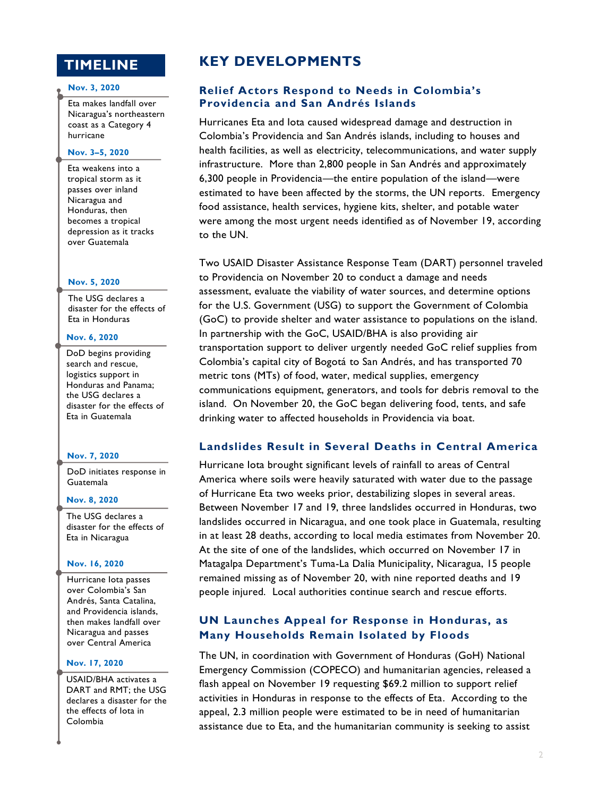# **TIMELINE**

#### **Nov. 3, 2020**

Eta makes landfall over Nicaragua's northeastern coast as a Category 4 hurricane

### **Nov. 3–5, 2020**

Eta weakens into a tropical storm as it passes over inland Nicaragua and Honduras, then becomes a tropical depression as it tracks over Guatemala

#### **Nov. 5, 2020**

The USG declares a disaster for the effects of Eta in Honduras

#### **Nov. 6, 2020**

DoD begins providing search and rescue, logistics support in Honduras and Panama; the USG declares a disaster for the effects of Eta in Guatemala

#### **Nov. 7, 2020**

DoD initiates response in Guatemala

#### **Nov. 8, 2020**

The USG declares a disaster for the effects of Eta in Nicaragua

#### **Nov. 16, 2020**

Hurricane Iota passes over Colombia's San Andrés, Santa Catalina, and Providencia islands, then makes landfall over Nicaragua and passes over Central America

### **Nov. 17, 2020**

USAID/BHA activates a DART and RMT; the USG declares a disaster for the the effects of Iota in Colombia

# **KEY DEVELOPMENTS**

# **Relief Actors Respond to Needs in Colombia's Providencia and San Andrés Islands**

Hurricanes Eta and Iota caused widespread damage and destruction in Colombia's Providencia and San Andrés islands, including to houses and health facilities, as well as electricity, telecommunications, and water supply infrastructure. More than 2,800 people in San Andrés and approximately 6,300 people in Providencia—the entire population of the island—were estimated to have been affected by the storms, the UN reports. Emergency food assistance, health services, hygiene kits, shelter, and potable water were among the most urgent needs identified as of November 19, according to the UN.

Two USAID Disaster Assistance Response Team (DART) personnel traveled to Providencia on November 20 to conduct a damage and needs assessment, evaluate the viability of water sources, and determine options for the U.S. Government (USG) to support the Government of Colombia (GoC) to provide shelter and water assistance to populations on the island. In partnership with the GoC, USAID/BHA is also providing air transportation support to deliver urgently needed GoC relief supplies from Colombia's capital city of Bogotá to San Andrés, and has transported 70 metric tons (MTs) of food, water, medical supplies, emergency communications equipment, generators, and tools for debris removal to the island. On November 20, the GoC began delivering food, tents, and safe drinking water to affected households in Providencia via boat.

## **Landslides Result in Several Deaths in Central America**

Hurricane Iota brought significant levels of rainfall to areas of Central America where soils were heavily saturated with water due to the passage of Hurricane Eta two weeks prior, destabilizing slopes in several areas. Between November 17 and 19, three landslides occurred in Honduras, two landslides occurred in Nicaragua, and one took place in Guatemala, resulting in at least 28 deaths, according to local media estimates from November 20. At the site of one of the landslides, which occurred on November 17 in Matagalpa Department's Tuma-La Dalia Municipality, Nicaragua, 15 people remained missing as of November 20, with nine reported deaths and 19 people injured. Local authorities continue search and rescue efforts.

# **UN Launches Appeal for Response in Honduras, as Many Households Remain Isolated by Floods**

The UN, in coordination with Government of Honduras (GoH) National Emergency Commission (COPECO) and humanitarian agencies, released a flash appeal on November 19 requesting \$69.2 million to support relief activities in Honduras in response to the effects of Eta. According to the appeal, 2.3 million people were estimated to be in need of humanitarian assistance due to Eta, and the humanitarian community is seeking to assist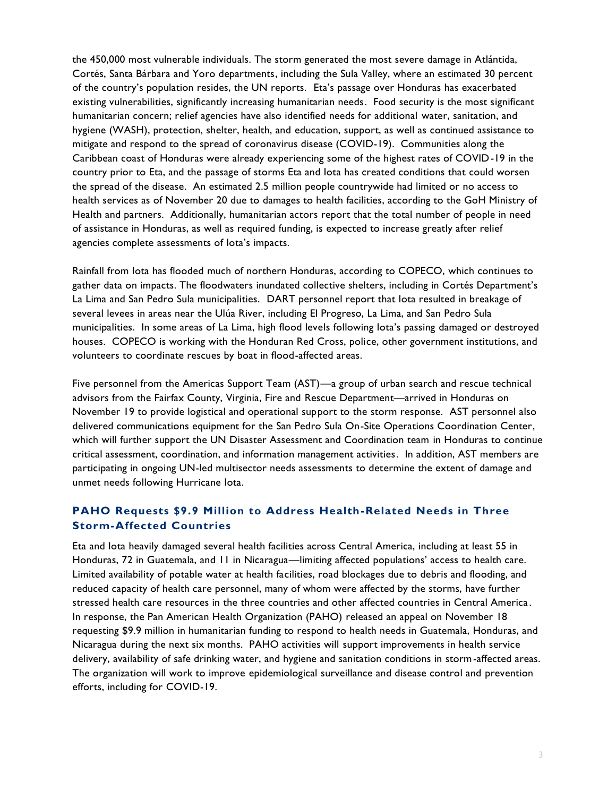the 450,000 most vulnerable individuals. The storm generated the most severe damage in Atlántida, Cortés, Santa Bárbara and Yoro departments, including the Sula Valley, where an estimated 30 percent of the country's population resides, the UN reports. Eta's passage over Honduras has exacerbated existing vulnerabilities, significantly increasing humanitarian needs. Food security is the most significant humanitarian concern; relief agencies have also identified needs for additional water, sanitation, and hygiene (WASH), protection, shelter, health, and education, support, as well as continued assistance to mitigate and respond to the spread of coronavirus disease (COVID-19). Communities along the Caribbean coast of Honduras were already experiencing some of the highest rates of COVID-19 in the country prior to Eta, and the passage of storms Eta and Iota has created conditions that could worsen the spread of the disease. An estimated 2.5 million people countrywide had limited or no access to health services as of November 20 due to damages to health facilities, according to the GoH Ministry of Health and partners. Additionally, humanitarian actors report that the total number of people in need of assistance in Honduras, as well as required funding, is expected to increase greatly after relief agencies complete assessments of Iota's impacts.

Rainfall from Iota has flooded much of northern Honduras, according to COPECO, which continues to gather data on impacts. The floodwaters inundated collective shelters, including in Cortés Department's La Lima and San Pedro Sula municipalities. DART personnel report that Iota resulted in breakage of several levees in areas near the Ulúa River, including El Progreso, La Lima, and San Pedro Sula municipalities. In some areas of La Lima, high flood levels following Iota's passing damaged or destroyed houses. COPECO is working with the Honduran Red Cross, police, other government institutions, and volunteers to coordinate rescues by boat in flood-affected areas.

Five personnel from the Americas Support Team (AST)—a group of urban search and rescue technical advisors from the Fairfax County, Virginia, Fire and Rescue Department—arrived in Honduras on November 19 to provide logistical and operational support to the storm response. AST personnel also delivered communications equipment for the San Pedro Sula On-Site Operations Coordination Center, which will further support the UN Disaster Assessment and Coordination team in Honduras to continue critical assessment, coordination, and information management activities. In addition, AST members are participating in ongoing UN-led multisector needs assessments to determine the extent of damage and unmet needs following Hurricane Iota.

# **PAHO Requests \$9.9 Million to Address Health-Related Needs in Three Storm-Affected Countries**

Eta and Iota heavily damaged several health facilities across Central America, including at least 55 in Honduras, 72 in Guatemala, and 11 in Nicaragua—limiting affected populations' access to health care. Limited availability of potable water at health facilities, road blockages due to debris and flooding, and reduced capacity of health care personnel, many of whom were affected by the storms, have further stressed health care resources in the three countries and other affected countries in Central America . In response, the Pan American Health Organization (PAHO) released an appeal on November 18 requesting \$9.9 million in humanitarian funding to respond to health needs in Guatemala, Honduras, and Nicaragua during the next six months. PAHO activities will support improvements in health service delivery, availability of safe drinking water, and hygiene and sanitation conditions in storm-affected areas. The organization will work to improve epidemiological surveillance and disease control and prevention efforts, including for COVID-19.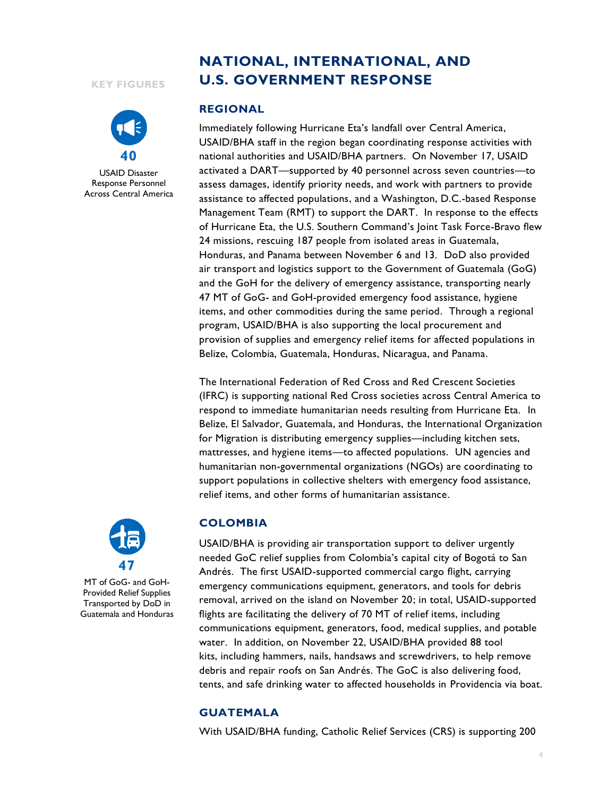#### **KEY FIGURES**



USAID Disaster Response Personnel Across Central America

# **NATIONAL, INTERNATIONAL, AND U.S. GOVERNMENT RESPONSE**

#### **REGIONAL**

Immediately following Hurricane Eta's landfall over Central America, USAID/BHA staff in the region began coordinating response activities with national authorities and USAID/BHA partners. On November 17, USAID activated a DART—supported by 40 personnel across seven countries—to assess damages, identify priority needs, and work with partners to provide assistance to affected populations, and a Washington, D.C.-based Response Management Team (RMT) to support the DART. In response to the effects of Hurricane Eta, the U.S. Southern Command's Joint Task Force-Bravo flew 24 missions, rescuing 187 people from isolated areas in Guatemala, Honduras, and Panama between November 6 and 13. DoD also provided air transport and logistics support to the Government of Guatemala (GoG) and the GoH for the delivery of emergency assistance, transporting nearly 47 MT of GoG- and GoH-provided emergency food assistance, hygiene items, and other commodities during the same period. Through a regional program, USAID/BHA is also supporting the local procurement and provision of supplies and emergency relief items for affected populations in Belize, Colombia, Guatemala, Honduras, Nicaragua, and Panama.

The International Federation of Red Cross and Red Crescent Societies (IFRC) is supporting national Red Cross societies across Central America to respond to immediate humanitarian needs resulting from Hurricane Eta. In Belize, El Salvador, Guatemala, and Honduras, the International Organization for Migration is distributing emergency supplies—including kitchen sets, mattresses, and hygiene items—to affected populations. UN agencies and humanitarian non-governmental organizations (NGOs) are coordinating to support populations in collective shelters with emergency food assistance, relief items, and other forms of humanitarian assistance.



MT of GoG- and GoH-Provided Relief Supplies Transported by DoD in Guatemala and Honduras

# **COLOMBIA**

USAID/BHA is providing air transportation support to deliver urgently needed GoC relief supplies from Colombia's capital city of Bogotá to San Andrés. The first USAID-supported commercial cargo flight, carrying emergency communications equipment, generators, and tools for debris removal, arrived on the island on November 20; in total, USAID-supported flights are facilitating the delivery of 70 MT of relief items, including communications equipment, generators, food, medical supplies, and potable water. In addition, on November 22, USAID/BHA provided 88 tool kits, including hammers, nails, handsaws and screwdrivers, to help remove debris and repair roofs on San Andrés. The GoC is also delivering food, tents, and safe drinking water to affected households in Providencia via boat.

## **GUATEMALA**

With USAID/BHA funding, Catholic Relief Services (CRS) is supporting 200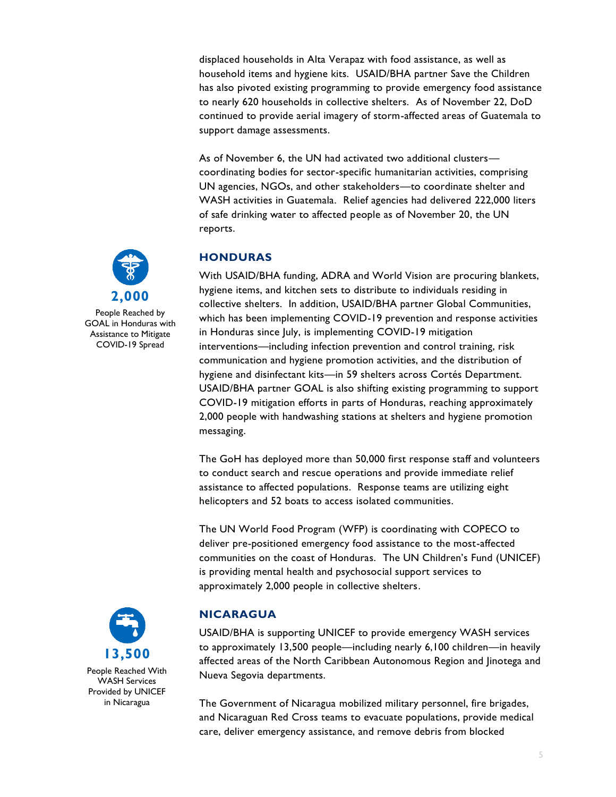displaced households in Alta Verapaz with food assistance, as well as household items and hygiene kits. USAID/BHA partner Save the Children has also pivoted existing programming to provide emergency food assistance to nearly 620 households in collective shelters. As of November 22, DoD continued to provide aerial imagery of storm-affected areas of Guatemala to support damage assessments.

As of November 6, the UN had activated two additional clusters coordinating bodies for sector-specific humanitarian activities, comprising UN agencies, NGOs, and other stakeholders—to coordinate shelter and WASH activities in Guatemala. Relief agencies had delivered 222,000 liters of safe drinking water to affected people as of November 20, the UN reports.

# **HONDURAS**

With USAID/BHA funding, ADRA and World Vision are procuring blankets, hygiene items, and kitchen sets to distribute to individuals residing in collective shelters. In addition, USAID/BHA partner Global Communities, which has been implementing COVID-19 prevention and response activities in Honduras since July, is implementing COVID-19 mitigation interventions—including infection prevention and control training, risk communication and hygiene promotion activities, and the distribution of hygiene and disinfectant kits—in 59 shelters across Cortés Department. USAID/BHA partner GOAL is also shifting existing programming to support COVID-19 mitigation efforts in parts of Honduras, reaching approximately 2,000 people with handwashing stations at shelters and hygiene promotion messaging.

The GoH has deployed more than 50,000 first response staff and volunteers to conduct search and rescue operations and provide immediate relief assistance to affected populations. Response teams are utilizing eight helicopters and 52 boats to access isolated communities.

The UN World Food Program (WFP) is coordinating with COPECO to deliver pre-positioned emergency food assistance to the most-affected communities on the coast of Honduras. The UN Children's Fund (UNICEF) is providing mental health and psychosocial support services to approximately 2,000 people in collective shelters.

# **NICARAGUA**

USAID/BHA is supporting UNICEF to provide emergency WASH services to approximately 13,500 people—including nearly 6,100 children—in heavily affected areas of the North Caribbean Autonomous Region and Jinotega and Nueva Segovia departments.

The Government of Nicaragua mobilized military personnel, fire brigades, and Nicaraguan Red Cross teams to evacuate populations, provide medical care, deliver emergency assistance, and remove debris from blocked



People Reached by GOAL in Honduras with Assistance to Mitigate COVID-19 Spread

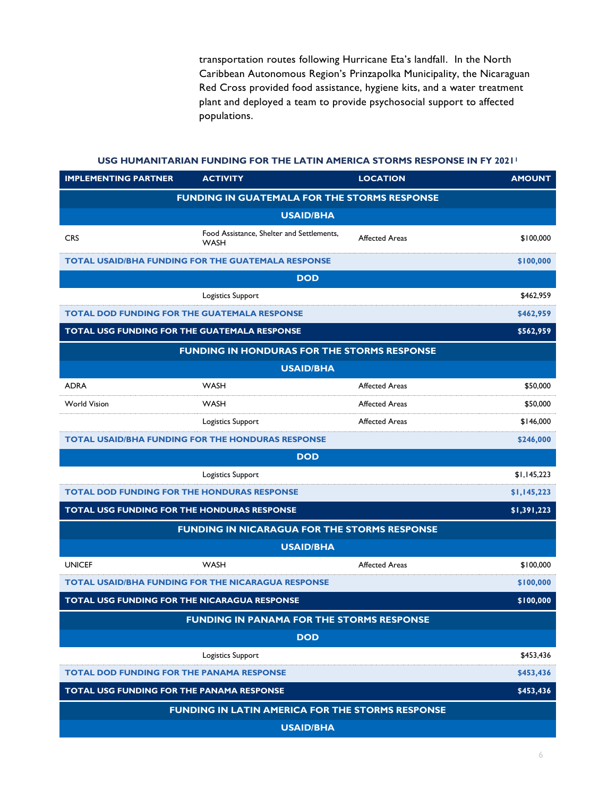transportation routes following Hurricane Eta's landfall. In the North Caribbean Autonomous Region's Prinzapolka Municipality, the Nicaraguan Red Cross provided food assistance, hygiene kits, and a water treatment plant and deployed a team to provide psychosocial support to affected populations.

**USG HUMANITARIAN FUNDING FOR THE LATIN AMERICA STORMS RESPONSE IN FY 2021<sup>1</sup>**

| <b>IMPLEMENTING PARTNER</b>                         | <b>ACTIVITY</b>                                           | <b>LOCATION</b>       | <b>AMOUNT</b> |  |  |
|-----------------------------------------------------|-----------------------------------------------------------|-----------------------|---------------|--|--|
| <b>FUNDING IN GUATEMALA FOR THE STORMS RESPONSE</b> |                                                           |                       |               |  |  |
| <b>USAID/BHA</b>                                    |                                                           |                       |               |  |  |
| <b>CRS</b>                                          | Food Assistance, Shelter and Settlements,<br><b>WASH</b>  | <b>Affected Areas</b> | \$100,000     |  |  |
|                                                     | TOTAL USAID/BHA FUNDING FOR THE GUATEMALA RESPONSE        |                       | \$100,000     |  |  |
| <b>DOD</b>                                          |                                                           |                       |               |  |  |
|                                                     | Logistics Support                                         |                       | \$462,959     |  |  |
| <b>TOTAL DOD FUNDING FOR THE GUATEMALA RESPONSE</b> |                                                           |                       | \$462,959     |  |  |
| TOTAL USG FUNDING FOR THE GUATEMALA RESPONSE        |                                                           |                       | \$562,959     |  |  |
| FUNDING IN HONDURAS FOR THE STORMS RESPONSE         |                                                           |                       |               |  |  |
| <b>USAID/BHA</b>                                    |                                                           |                       |               |  |  |
| <b>ADRA</b>                                         | <b>WASH</b>                                               | <b>Affected Areas</b> | \$50,000      |  |  |
| <b>World Vision</b>                                 | <b>WASH</b>                                               | <b>Affected Areas</b> | \$50,000      |  |  |
|                                                     | Logistics Support                                         | <b>Affected Areas</b> | \$146,000     |  |  |
|                                                     | TOTAL USAID/BHA FUNDING FOR THE HONDURAS RESPONSE         |                       | \$246,000     |  |  |
|                                                     | <b>DOD</b>                                                |                       |               |  |  |
|                                                     | Logistics Support                                         |                       | \$1,145,223   |  |  |
| <b>TOTAL DOD FUNDING FOR THE HONDURAS RESPONSE</b>  |                                                           |                       | \$1,145,223   |  |  |
| TOTAL USG FUNDING FOR THE HONDURAS RESPONSE         |                                                           |                       | \$1,391,223   |  |  |
| <b>FUNDING IN NICARAGUA FOR THE STORMS RESPONSE</b> |                                                           |                       |               |  |  |
|                                                     | <b>USAID/BHA</b>                                          |                       |               |  |  |
| <b>UNICEF</b>                                       | <b>WASH</b>                                               | <b>Affected Areas</b> | \$100,000     |  |  |
|                                                     | <b>TOTAL USAID/BHA FUNDING FOR THE NICARAGUA RESPONSE</b> |                       | \$100,000     |  |  |
| <b>TOTAL USG FUNDING FOR THE NICARAGUA RESPONSE</b> |                                                           |                       | \$100,000     |  |  |
| <b>FUNDING IN PANAMA FOR THE STORMS RESPONSE</b>    |                                                           |                       |               |  |  |
| <b>DOD</b>                                          |                                                           |                       |               |  |  |
|                                                     | Logistics Support                                         |                       | \$453,436     |  |  |
| <b>TOTAL DOD FUNDING FOR THE PANAMA RESPONSE</b>    |                                                           |                       | \$453,436     |  |  |
| TOTAL USG FUNDING FOR THE PANAMA RESPONSE           |                                                           |                       | \$453,436     |  |  |
| FUNDING IN LATIN AMERICA FOR THE STORMS RESPONSE    |                                                           |                       |               |  |  |
|                                                     | <b>USAID/BHA</b>                                          |                       |               |  |  |